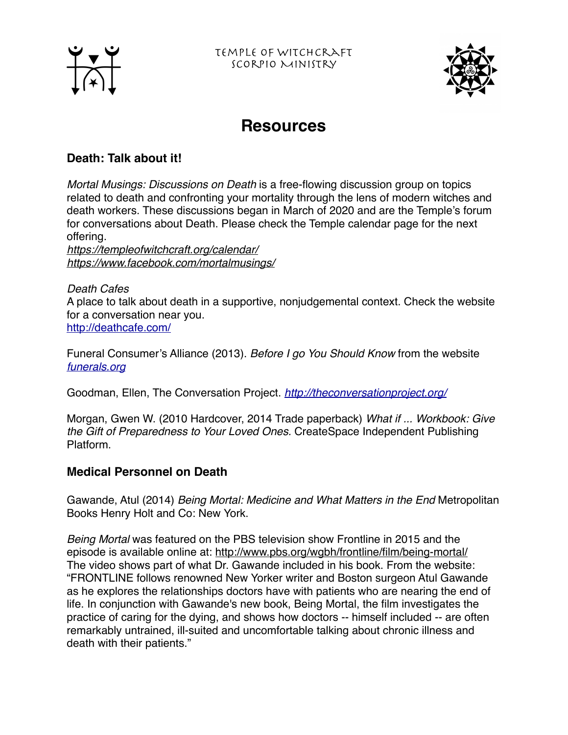



# **Resources**

# **Death: Talk about it!**

*Mortal Musings: Discussions on Death* is a free-flowing discussion group on topics related to death and confronting your mortality through the lens of modern witches and death workers. These discussions began in March of 2020 and are the Temple's forum for conversations about Death. Please check the Temple calendar page for the next offering.

*<https://templeofwitchcraft.org/calendar/> <https://www.facebook.com/mortalmusings/>*

#### *Death Cafes*

A place to talk about death in a supportive, nonjudgemental context. Check the website for a conversation near you. <http://deathcafe.com/>

Funeral Consumer's Alliance (2013). *Before I go You Should Know* from the website *[funerals.org](http://funerals.org)*

Goodman, Ellen, The Conversation Project. *<http://theconversationproject.org/>*

Morgan, Gwen W. (2010 Hardcover, 2014 Trade paperback) *What if ... Workbook: Give the Gift of Preparedness to Your Loved Ones.* CreateSpace Independent Publishing Platform.

## **Medical Personnel on Death**

Gawande, Atul (2014) *Being Mortal: Medicine and What Matters in the End* Metropolitan Books Henry Holt and Co: New York.

*Being Mortal* was featured on the PBS television show Frontline in 2015 and the episode is available online at:<http://www.pbs.org/wgbh/frontline/film/being-mortal/> The video shows part of what Dr. Gawande included in his book. From the website: "FRONTLINE follows renowned New Yorker writer and Boston surgeon Atul Gawande as he explores the relationships doctors have with patients who are nearing the end of life. In conjunction with Gawande's new book, Being Mortal, the film investigates the practice of caring for the dying, and shows how doctors -- himself included -- are often remarkably untrained, ill-suited and uncomfortable talking about chronic illness and death with their patients."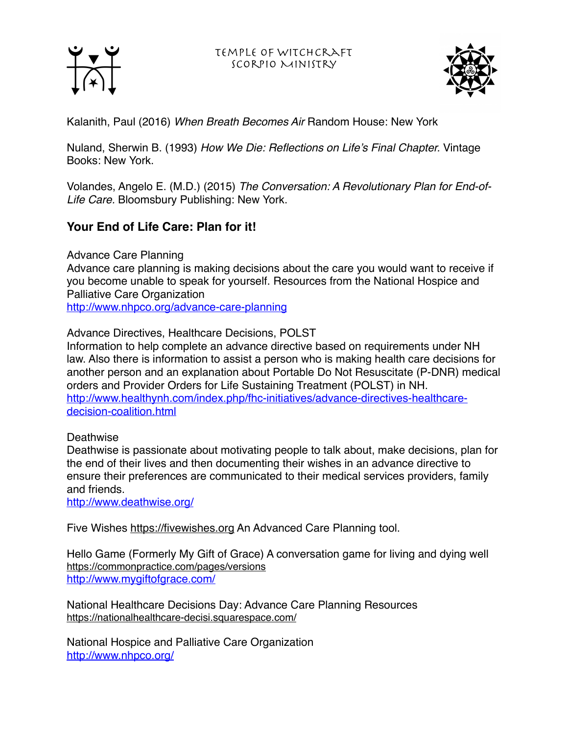Temple of Witchcraft Scorpio Ministry





Kalanith, Paul (2016) *When Breath Becomes Air* Random House: New York

Nuland, Sherwin B. (1993) *How We Die: Reflections on Life's Final Chapter.* Vintage Books: New York.

Volandes, Angelo E. (M.D.) (2015) *The Conversation: A Revolutionary Plan for End-of-Life Care.* Bloomsbury Publishing: New York.

# **Your End of Life Care: Plan for it!**

Advance Care Planning

Advance care planning is making decisions about the care you would want to receive if you become unable to speak for yourself. Resources from the National Hospice and Palliative Care Organization

<http://www.nhpco.org/advance-care-planning>

Advance Directives, Healthcare Decisions, POLST

Information to help complete an advance directive based on requirements under NH law. Also there is information to assist a person who is making health care decisions for another person and an explanation about Portable Do Not Resuscitate (P-DNR) medical orders and Provider Orders for Life Sustaining Treatment (POLST) in NH. [http://www.healthynh.com/index.php/fhc-initiatives/advance-directives-healthcare](http://www.healthynh.com/index.php/fhc-initiatives/advance-directives-healthcare-decision-coalition.html)[decision-coalition.html](http://www.healthynh.com/index.php/fhc-initiatives/advance-directives-healthcare-decision-coalition.html)

#### Deathwise

Deathwise is passionate about motivating people to talk about, make decisions, plan for the end of their lives and then documenting their wishes in an advance directive to ensure their preferences are communicated to their medical services providers, family and friends.

<http://www.deathwise.org/>

Five Wishes <https://fivewishes.org>An Advanced Care Planning tool.

Hello Game (Formerly My Gift of Grace) A conversation game for living and dying well <https://commonpractice.com/pages/versions> <http://www.mygiftofgrace.com/>

National Healthcare Decisions Day: Advance Care Planning Resources <https://nationalhealthcare-decisi.squarespace.com/>

National Hospice and Palliative Care Organization <http://www.nhpco.org/>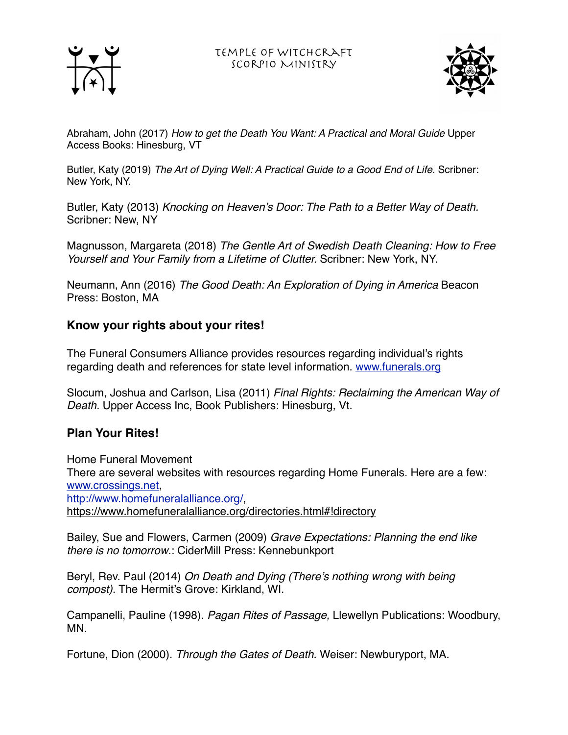



Abraham, John (2017) *How to get the Death You Want: A Practical and Moral Guide* Upper Access Books: Hinesburg, VT

Butler, Katy (2019) *The Art of Dying Well: A Practical Guide to a Good End of Life.* Scribner: New York, NY.

Butler, Katy (2013) *Knocking on Heaven's Door: The Path to a Better Way of Death.*  Scribner: New, NY

Magnusson, Margareta (2018) *The Gentle Art of Swedish Death Cleaning: How to Free Yourself and Your Family from a Lifetime of Clutter.* Scribner: New York, NY.

Neumann, Ann (2016) *The Good Death: An Exploration of Dying in America* Beacon Press: Boston, MA

# **Know your rights about your rites!**

The Funeral Consumers Alliance provides resources regarding individual's rights regarding death and references for state level information. [www.funerals.org](http://www.funerals.org)

Slocum, Joshua and Carlson, Lisa (2011) *Final Rights: Reclaiming the American Way of Death.* Upper Access Inc, Book Publishers: Hinesburg, Vt.

## **Plan Your Rites!**

Home Funeral Movement There are several websites with resources regarding Home Funerals. Here are a few: [www.crossings.net](http://www.crossings.net), <http://www.homefuneralalliance.org/>, <https://www.homefuneralalliance.org/directories.html#!directory>

Bailey, Sue and Flowers, Carmen (2009) *Grave Expectations: Planning the end like there is no tomorrow*.: CiderMill Press: Kennebunkport

Beryl, Rev. Paul (2014) *On Death and Dying (There's nothing wrong with being compost).* The Hermit's Grove: Kirkland, WI.

Campanelli, Pauline (1998). *Pagan Rites of Passage,* Llewellyn Publications: Woodbury, MN.

Fortune, Dion (2000). *Through the Gates of Death.* Weiser: Newburyport, MA.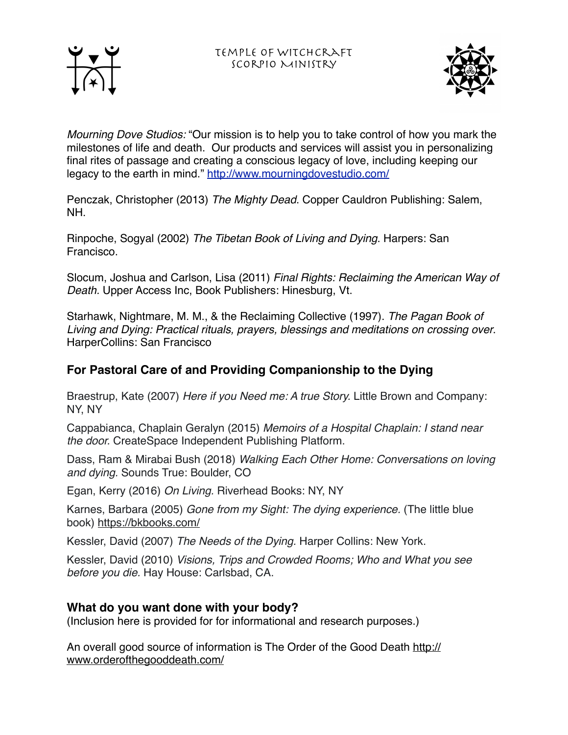



*Mourning Dove Studios:* "Our mission is to help you to take control of how you mark the milestones of life and death. Our products and services will assist you in personalizing final rites of passage and creating a conscious legacy of love, including keeping our legacy to the earth in mind."<http://www.mourningdovestudio.com/>

Penczak, Christopher (2013) *The Mighty Dead*. Copper Cauldron Publishing: Salem, NH.

Rinpoche, Sogyal (2002) *The Tibetan Book of Living and Dying*. Harpers: San Francisco.

Slocum, Joshua and Carlson, Lisa (2011) *Final Rights: Reclaiming the American Way of Death.* Upper Access Inc, Book Publishers: Hinesburg, Vt.

Starhawk, Nightmare, M. M., & the Reclaiming Collective (1997). *The Pagan Book of Living and Dying: Practical rituals, prayers, blessings and meditations on crossing over*. HarperCollins: San Francisco

# **For Pastoral Care of and Providing Companionship to the Dying**

Braestrup, Kate (2007) *Here if you Need me: A true Story.* Little Brown and Company: NY, NY

Cappabianca, Chaplain Geralyn (2015) *Memoirs of a Hospital Chaplain: I stand near the door.* CreateSpace Independent Publishing Platform.

Dass, Ram & Mirabai Bush (2018) *Walking Each Other Home: Conversations on loving and dying.* Sounds True: Boulder, CO

Egan, Kerry (2016) *On Living.* Riverhead Books: NY, NY

Karnes, Barbara (2005) *Gone from my Sight: The dying experience.* (The little blue book)<https://bkbooks.com/>

Kessler, David (2007) *The Needs of the Dying.* Harper Collins: New York.

Kessler, David (2010) *Visions, Trips and Crowded Rooms; Who and What you see before you die.* Hay House: Carlsbad, CA.

# **What do you want done with your body?**

(Inclusion here is provided for for informational and research purposes.)

An overall good source of information is The Order of the Good Death [http://](http://www.orderofthegooddeath.com/) [www.orderofthegooddeath.com/](http://www.orderofthegooddeath.com/)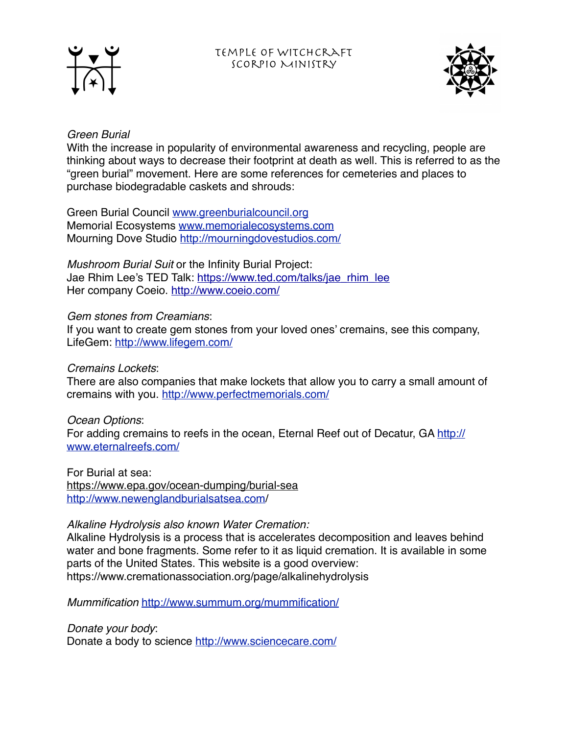



#### *Green Burial*

With the increase in popularity of environmental awareness and recycling, people are thinking about ways to decrease their footprint at death as well. This is referred to as the "green burial" movement. Here are some references for cemeteries and places to purchase biodegradable caskets and shrouds:

Green Burial Council [www.greenburialcouncil.org](http://www.greenburialcouncil.org) Memorial Ecosystems [www.memorialecosystems.com](http://www.memorialecosystems.com) Mourning Dove Studio<http://mourningdovestudios.com/>

*Mushroom Burial Suit* or the Infinity Burial Project: Jae Rhim Lee's TED Talk: [https://www.ted.com/talks/jae\\_rhim\\_lee](https://www.ted.com/talks/jae_rhim_lee) Her company Coeio. <http://www.coeio.com/>

#### *Gem stones from Creamians*:

If you want to create gem stones from your loved ones' cremains, see this company, LifeGem:<http://www.lifegem.com/>

#### *Cremains Lockets*:

There are also companies that make lockets that allow you to carry a small amount of cremains with you. <http://www.perfectmemorials.com/>

#### *Ocean Options*:

For adding cremains to reefs in the ocean, Eternal Reef out of Decatur, GA [http://](http://www.eternalreefs.com/) [www.eternalreefs.com/](http://www.eternalreefs.com/)

For Burial at sea: <https://www.epa.gov/ocean-dumping/burial-sea> <http://www.newenglandburialsatsea.com>/

## *Alkaline Hydrolysis also known Water Cremation:*

Alkaline Hydrolysis is a process that is accelerates decomposition and leaves behind water and bone fragments. Some refer to it as liquid cremation. It is available in some parts of the United States. This website is a good overview: https://www.cremationassociation.org/page/alkalinehydrolysis

*Mummification* <http://www.summum.org/mummification/>

*Donate your body*:

Donate a body to science <http://www.sciencecare.com/>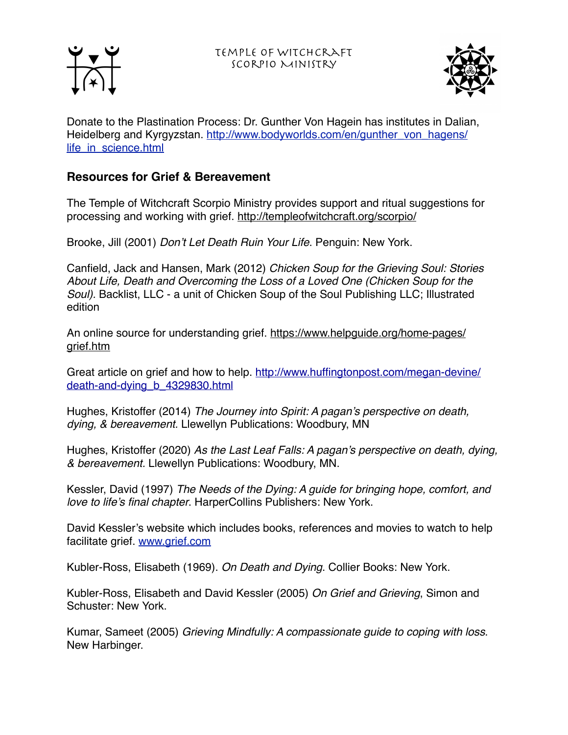Temple of Witchcraft Scorpio Ministry





Donate to the Plastination Process: Dr. Gunther Von Hagein has institutes in Dalian, Heidelberg and Kyrgyzstan. [http://www.bodyworlds.com/en/gunther\\_von\\_hagens/](http://www.bodyworlds.com/en/gunther_von_hagens/life_in_science.html) [life\\_in\\_science.html](http://www.bodyworlds.com/en/gunther_von_hagens/life_in_science.html)

# **Resources for Grief & Bereavement**

The Temple of Witchcraft Scorpio Ministry provides support and ritual suggestions for processing and working with grief.<http://templeofwitchcraft.org/scorpio/>

Brooke, Jill (2001) *Don't Let Death Ruin Your Life*. Penguin: New York.

Canfield, Jack and Hansen, Mark (2012) *Chicken Soup for the Grieving Soul: Stories About Life, Death and Overcoming the Loss of a Loved One (Chicken Soup for the Soul).* Backlist, LLC - a unit of Chicken Soup of the Soul Publishing LLC; Illustrated edition

An online source for understanding grief. [https://www.helpguide.org/home-pages/](https://www.helpguide.org/home-pages/grief.htm) [grief.htm](https://www.helpguide.org/home-pages/grief.htm)

Great article on grief and how to help. [http://www.huffingtonpost.com/megan-devine/](http://www.huffingtonpost.com/megan-devine/death-and-dying_b_4329830.html) [death-and-dying\\_b\\_4329830.html](http://www.huffingtonpost.com/megan-devine/death-and-dying_b_4329830.html)

Hughes, Kristoffer (2014) *The Journey into Spirit: A pagan's perspective on death, dying, & bereavement.* Llewellyn Publications: Woodbury, MN

Hughes, Kristoffer (2020) *As the Last Leaf Falls: A pagan's perspective on death, dying, & bereavement.* Llewellyn Publications: Woodbury, MN.

Kessler, David (1997) *The Needs of the Dying: A guide for bringing hope, comfort, and love to life's final chapter*. HarperCollins Publishers: New York.

David Kessler's website which includes books, references and movies to watch to help facilitate grief. [www.grief.com](http://www.grief.com)

Kubler-Ross, Elisabeth (1969). *On Death and Dying*. Collier Books: New York.

Kubler-Ross, Elisabeth and David Kessler (2005) *On Grief and Grieving*, Simon and Schuster: New York.

Kumar, Sameet (2005) *Grieving Mindfully: A compassionate guide to coping with loss*. New Harbinger.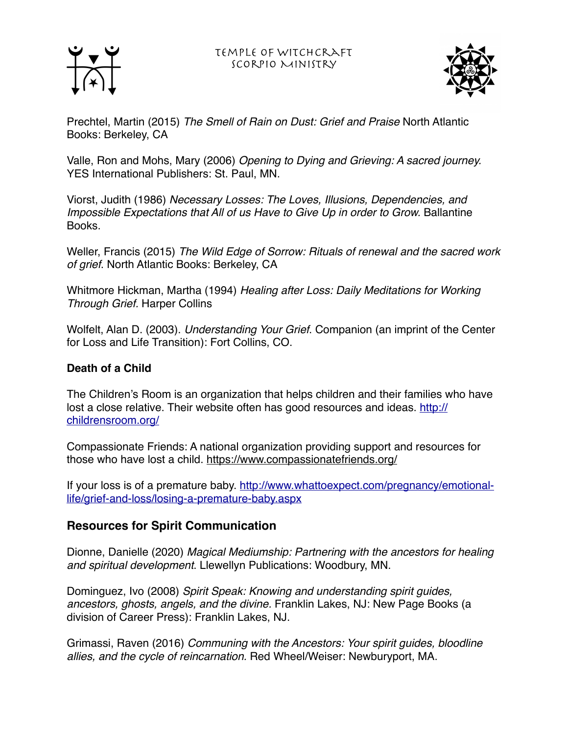





Prechtel, Martin (2015) *The Smell of Rain on Dust: Grief and Praise* North Atlantic Books: Berkeley, CA

Valle, Ron and Mohs, Mary (2006) *Opening to Dying and Grieving: A sacred journey.* YES International Publishers: St. Paul, MN.

Viorst, Judith (1986) *Necessary Losses: The Loves, Illusions, Dependencies, and Impossible Expectations that All of us Have to Give Up in order to Grow. Ballantine* Books.

Weller, Francis (2015) *The Wild Edge of Sorrow: Rituals of renewal and the sacred work of grief*. North Atlantic Books: Berkeley, CA

Whitmore Hickman, Martha (1994) *Healing after Loss: Daily Meditations for Working Through Grief.* Harper Collins

Wolfelt, Alan D. (2003). *Understanding Your Grief*. Companion (an imprint of the Center for Loss and Life Transition): Fort Collins, CO.

## **Death of a Child**

The Children's Room is an organization that helps children and their families who have lost a close relative. Their website often has good resources and ideas. [http://](http://childrensroom.org/) [childrensroom.org/](http://childrensroom.org/)

Compassionate Friends: A national organization providing support and resources for those who have lost a child. <https://www.compassionatefriends.org/>

[If your loss is of a premature baby. http://www.whattoexpect.com/pregnancy/emotional](http://www.whattoexpect.com/pregnancy/emotional-life/grief-and-loss/losing-a-premature-baby.aspx)[life/grief-and-loss/losing-a-premature-baby.aspx](http://www.whattoexpect.com/pregnancy/emotional-life/grief-and-loss/losing-a-premature-baby.aspx)

## **Resources for Spirit Communication**

Dionne, Danielle (2020) *Magical Mediumship: Partnering with the ancestors for healing and spiritual development*. Llewellyn Publications: Woodbury, MN.

Dominguez, Ivo (2008) *Spirit Speak: Knowing and understanding spirit guides, ancestors, ghosts, angels, and the divine.* Franklin Lakes, NJ: New Page Books (a division of Career Press): Franklin Lakes, NJ.

Grimassi, Raven (2016) *Communing with the Ancestors: Your spirit guides, bloodline allies, and the cycle of reincarnation.* Red Wheel/Weiser: Newburyport, MA.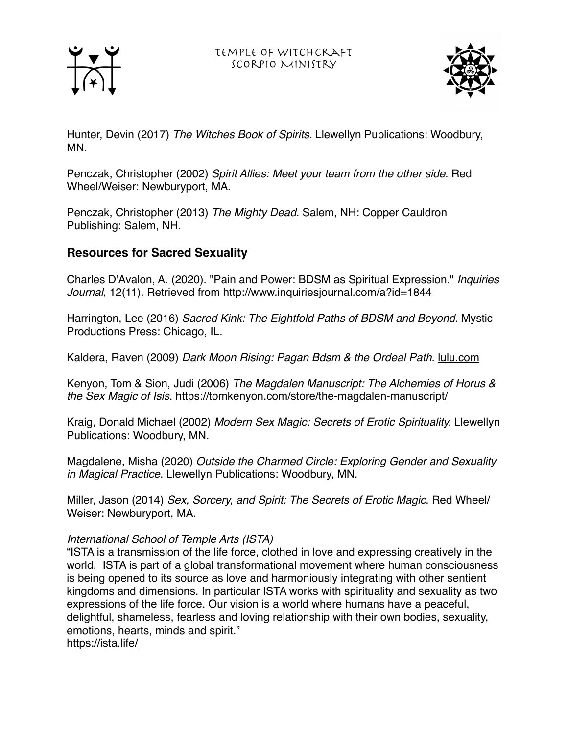



Hunter, Devin (2017) *The Witches Book of Spirits.* Llewellyn Publications: Woodbury, MN.

Penczak, Christopher (2002) *Spirit Allies: Meet your team from the other side*. Red Wheel/Weiser: Newburyport, MA.

Penczak, Christopher (2013) *The Mighty Dead*. Salem, NH: Copper Cauldron Publishing: Salem, NH.

# **Resources for Sacred Sexuality**

Charles D'Avalon, A. (2020). "Pain and Power: BDSM as Spiritual Expression." *Inquiries Journal*, 12(11). Retrieved from <http://www.inquiriesjournal.com/a?id=1844>

Harrington, Lee (2016) *Sacred Kink: The Eightfold Paths of BDSM and Beyond*. Mystic Productions Press: Chicago, IL.

Kaldera, Raven (2009) *Dark Moon Rising: Pagan Bdsm & the Ordeal Path*. [lulu.com](http://lulu.com)

Kenyon, Tom & Sion, Judi (2006) *The Magdalen Manuscript: The Alchemies of Horus & the Sex Magic of Isis*.<https://tomkenyon.com/store/the-magdalen-manuscript/>

Kraig, Donald Michael (2002) *Modern Sex Magic: Secrets of Erotic Spirituality.* Llewellyn Publications: Woodbury, MN.

Magdalene, Misha (2020) *Outside the Charmed Circle: Exploring Gender and Sexuality in Magical Practice*. Llewellyn Publications: Woodbury, MN.

Miller, Jason (2014) *Sex, Sorcery, and Spirit: The Secrets of Erotic Magic*. Red Wheel/ Weiser: Newburyport, MA.

#### *International School of Temple Arts (ISTA)*

"ISTA is a transmission of the life force, clothed in love and expressing creatively in the world. ISTA is part of a global transformational movement where human consciousness is being opened to its source as love and harmoniously integrating with other sentient kingdoms and dimensions. In particular ISTA works with spirituality and sexuality as two expressions of the life force. Our vision is a world where humans have a peaceful, delightful, shameless, fearless and loving relationship with their own bodies, sexuality, emotions, hearts, minds and spirit." <https://ista.life/>